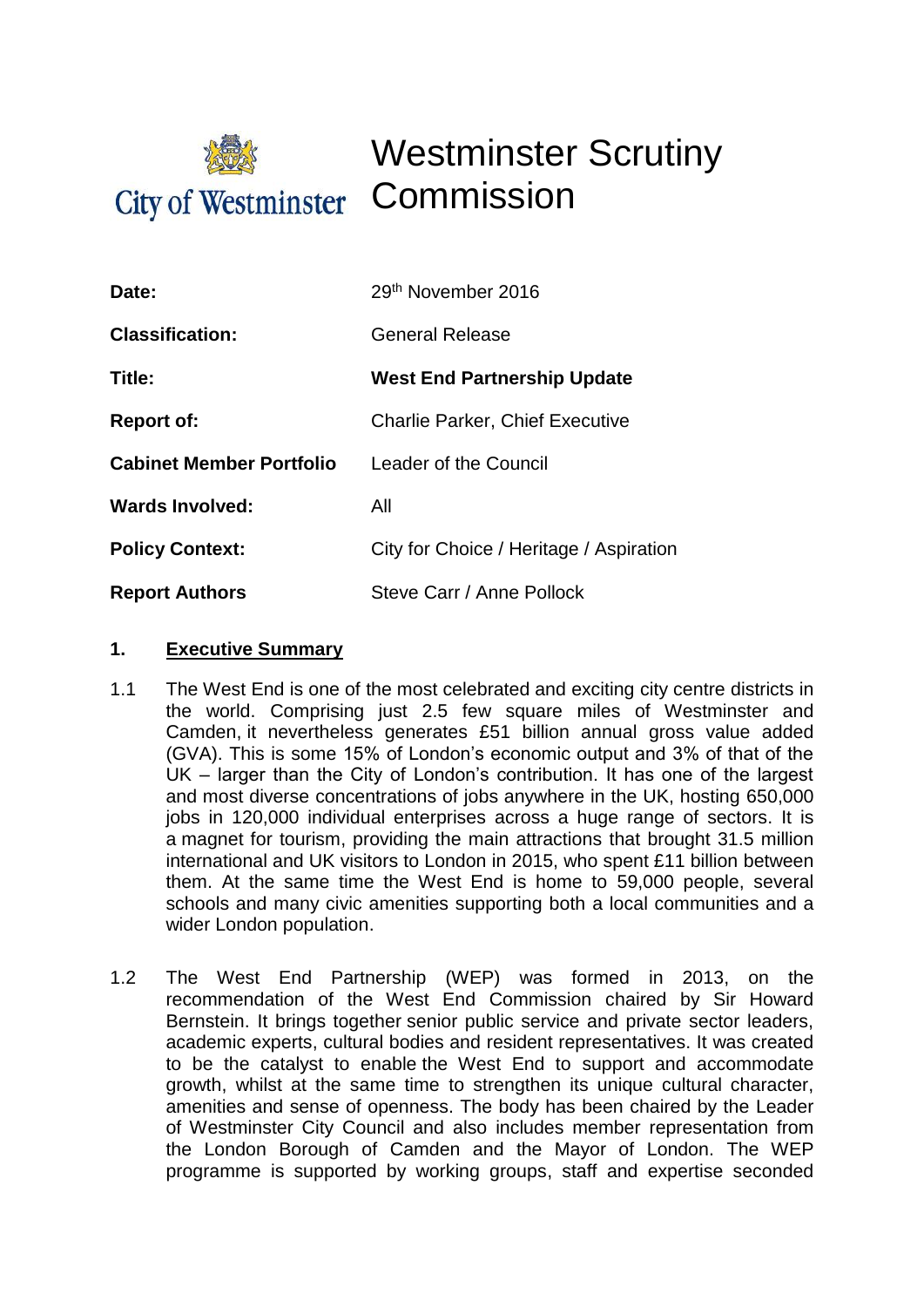

# Westminster Scrutiny

| Date:                           | 29th November 2016                      |
|---------------------------------|-----------------------------------------|
| <b>Classification:</b>          | <b>General Release</b>                  |
| Title:                          | <b>West End Partnership Update</b>      |
| <b>Report of:</b>               | <b>Charlie Parker, Chief Executive</b>  |
| <b>Cabinet Member Portfolio</b> | Leader of the Council                   |
| <b>Wards Involved:</b>          | All                                     |
| <b>Policy Context:</b>          | City for Choice / Heritage / Aspiration |
| <b>Report Authors</b>           | Steve Carr / Anne Pollock               |

#### **1. Executive Summary**

- 1.1 The West End is one of the most celebrated and exciting city centre districts in the world. Comprising just 2.5 few square miles of Westminster and Camden, it nevertheless generates £51 billion annual gross value added (GVA). This is some 15% of London's economic output and 3% of that of the UK – larger than the City of London's contribution. It has one of the largest and most diverse concentrations of jobs anywhere in the UK, hosting 650,000 jobs in 120,000 individual enterprises across a huge range of sectors. It is a magnet for tourism, providing the main attractions that brought 31.5 million international and UK visitors to London in 2015, who spent £11 billion between them. At the same time the West End is home to 59,000 people, several schools and many civic amenities supporting both a local communities and a wider London population.
- 1.2 The West End Partnership (WEP) was formed in 2013, on the recommendation of the West End Commission chaired by Sir Howard Bernstein. It brings together senior public service and private sector leaders, academic experts, cultural bodies and resident representatives. It was created to be the catalyst to enable the West End to support and accommodate growth, whilst at the same time to strengthen its unique cultural character, amenities and sense of openness. The body has been chaired by the Leader of Westminster City Council and also includes member representation from the London Borough of Camden and the Mayor of London. The WEP programme is supported by working groups, staff and expertise seconded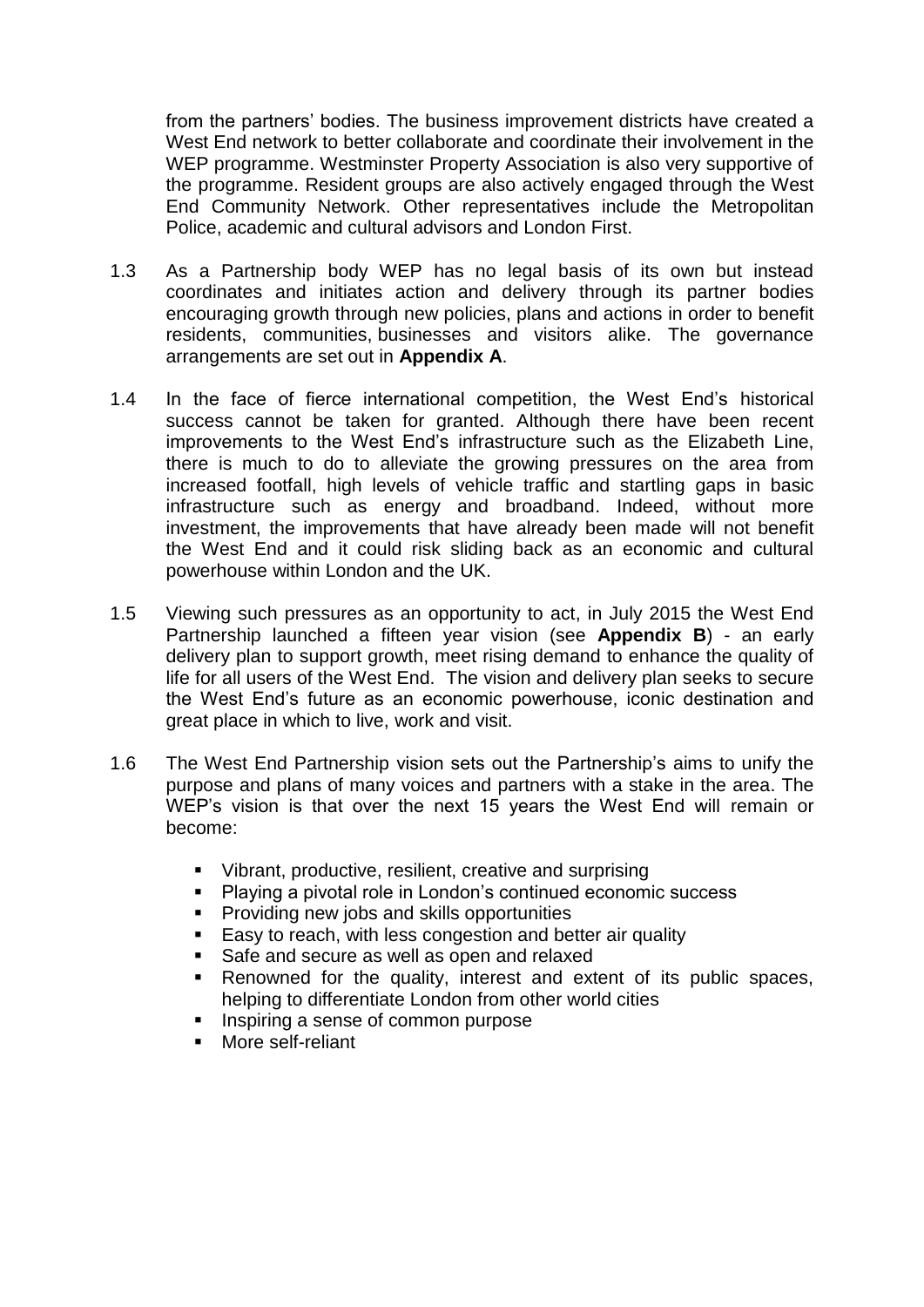from the partners' bodies. The business improvement districts have created a West End network to better collaborate and coordinate their involvement in the WEP programme. Westminster Property Association is also very supportive of the programme. Resident groups are also actively engaged through the West End Community Network. Other representatives include the Metropolitan Police, academic and cultural advisors and London First.

- 1.3 As a Partnership body WEP has no legal basis of its own but instead coordinates and initiates action and delivery through its partner bodies encouraging growth through new policies, plans and actions in order to benefit residents, communities, businesses and visitors alike. The governance arrangements are set out in **Appendix A**.
- 1.4 In the face of fierce international competition, the West End's historical success cannot be taken for granted. Although there have been recent improvements to the West End's infrastructure such as the Elizabeth Line, there is much to do to alleviate the growing pressures on the area from increased footfall, high levels of vehicle traffic and startling gaps in basic infrastructure such as energy and broadband. Indeed, without more investment, the improvements that have already been made will not benefit the West End and it could risk sliding back as an economic and cultural powerhouse within London and the UK.
- 1.5 Viewing such pressures as an opportunity to act, in July 2015 the West End Partnership launched a [fifteen year vision](https://westendpartnership.files.wordpress.com/2014/12/wep_vision_2030.pdf) (see **Appendix B**) - an early delivery plan to support growth, meet rising demand to enhance the quality of life for all users of the West End. The vision and delivery plan seeks to secure the West End's future as an economic powerhouse, iconic destination and great place in which to live, work and visit.
- 1.6 The West End Partnership vision sets out the Partnership's aims to unify the purpose and plans of many voices and partners with a stake in the area. The WEP's vision is that over the next 15 years the West End will remain or become:
	- Vibrant, productive, resilient, creative and surprising
	- Playing a pivotal role in London's continued economic success
	- **Providing new jobs and skills opportunities**
	- **Easy to reach, with less congestion and better air quality**
	- Safe and secure as well as open and relaxed
	- Renowned for the quality, interest and extent of its public spaces, helping to differentiate London from other world cities
	- **Inspiring a sense of common purpose**
	- More self-reliant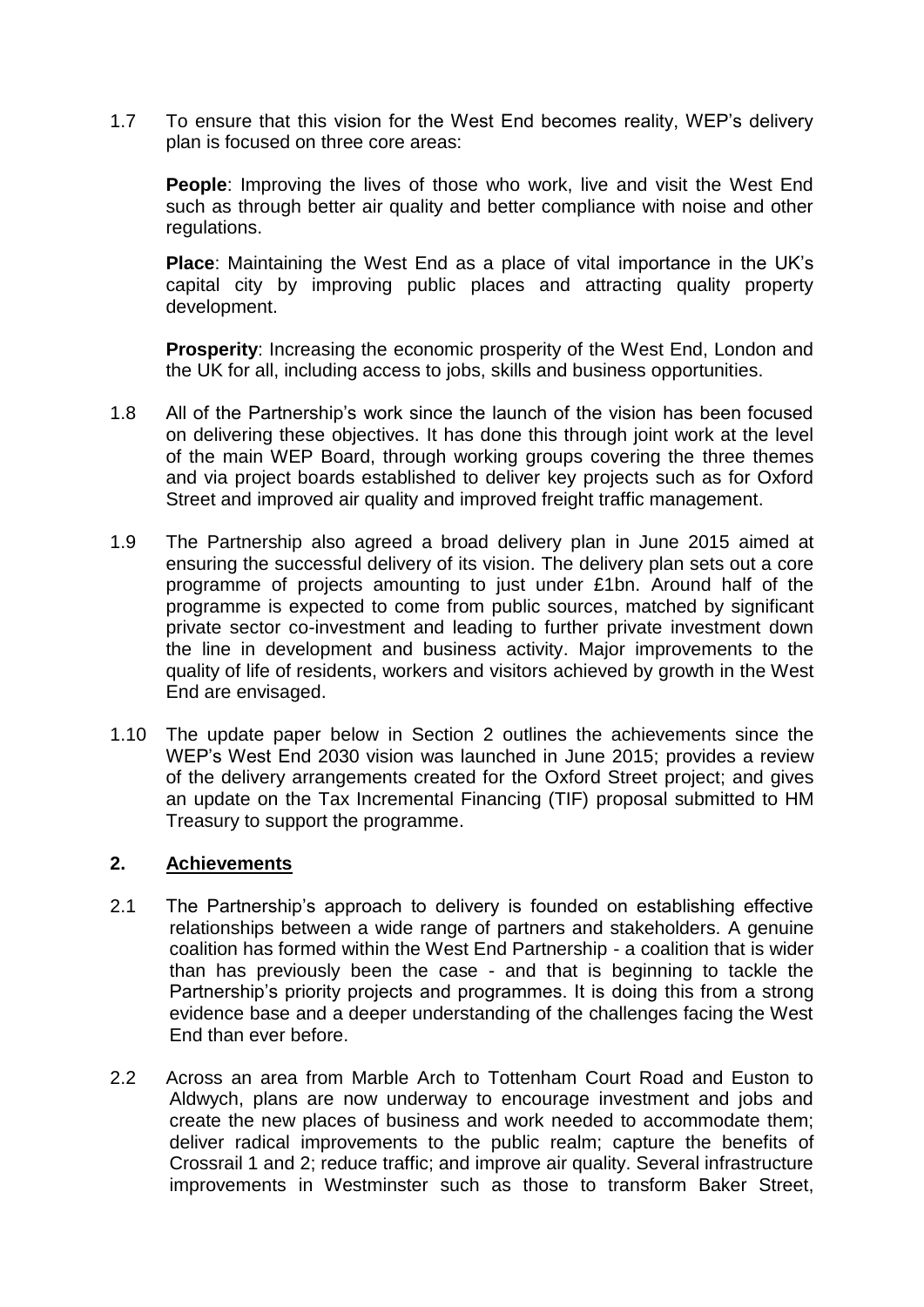1.7 To ensure that this vision for the West End becomes reality, WEP's delivery plan is focused on three core areas:

**People**: Improving the lives of those who work, live and visit the West End such as through better air quality and better compliance with noise and other regulations.

**Place**: Maintaining the West End as a place of vital importance in the UK's capital city by improving public places and attracting quality property development.

**Prosperity:** Increasing the economic prosperity of the West End, London and the UK for all, including access to jobs, skills and business opportunities.

- 1.8 All of the Partnership's work since the launch of the vision has been focused on delivering these objectives. It has done this through joint work at the level of the main WEP Board, through working groups covering the three themes and via project boards established to deliver key projects such as for Oxford Street and improved air quality and improved freight traffic management.
- 1.9 The Partnership also agreed a broad delivery plan in June 2015 aimed at ensuring the successful delivery of its vision. The delivery plan sets out a core programme of projects amounting to just under £1bn. Around half of the programme is expected to come from public sources, matched by significant private sector co-investment and leading to further private investment down the line in development and business activity. Major improvements to the quality of life of residents, workers and visitors achieved by growth in the West End are envisaged.
- 1.10 The update paper below in Section 2 outlines the achievements since the WEP's West End 2030 vision was launched in June 2015; provides a review of the delivery arrangements created for the Oxford Street project; and gives an update on the Tax Incremental Financing (TIF) proposal submitted to HM Treasury to support the programme.

#### **2. Achievements**

- 2.1 The Partnership's approach to delivery is founded on establishing effective relationships between a wide range of partners and stakeholders. A genuine coalition has formed within the West End Partnership - a coalition that is wider than has previously been the case - and that is beginning to tackle the Partnership's priority projects and programmes. It is doing this from a strong evidence base and a deeper understanding of the challenges facing the West End than ever before.
- 2.2 Across an area from Marble Arch to Tottenham Court Road and Euston to Aldwych, plans are now underway to encourage investment and jobs and create the new places of business and work needed to accommodate them; deliver radical improvements to the public realm; capture the benefits of Crossrail 1 and 2; reduce traffic; and improve air quality. Several infrastructure improvements in Westminster such as those to transform Baker Street,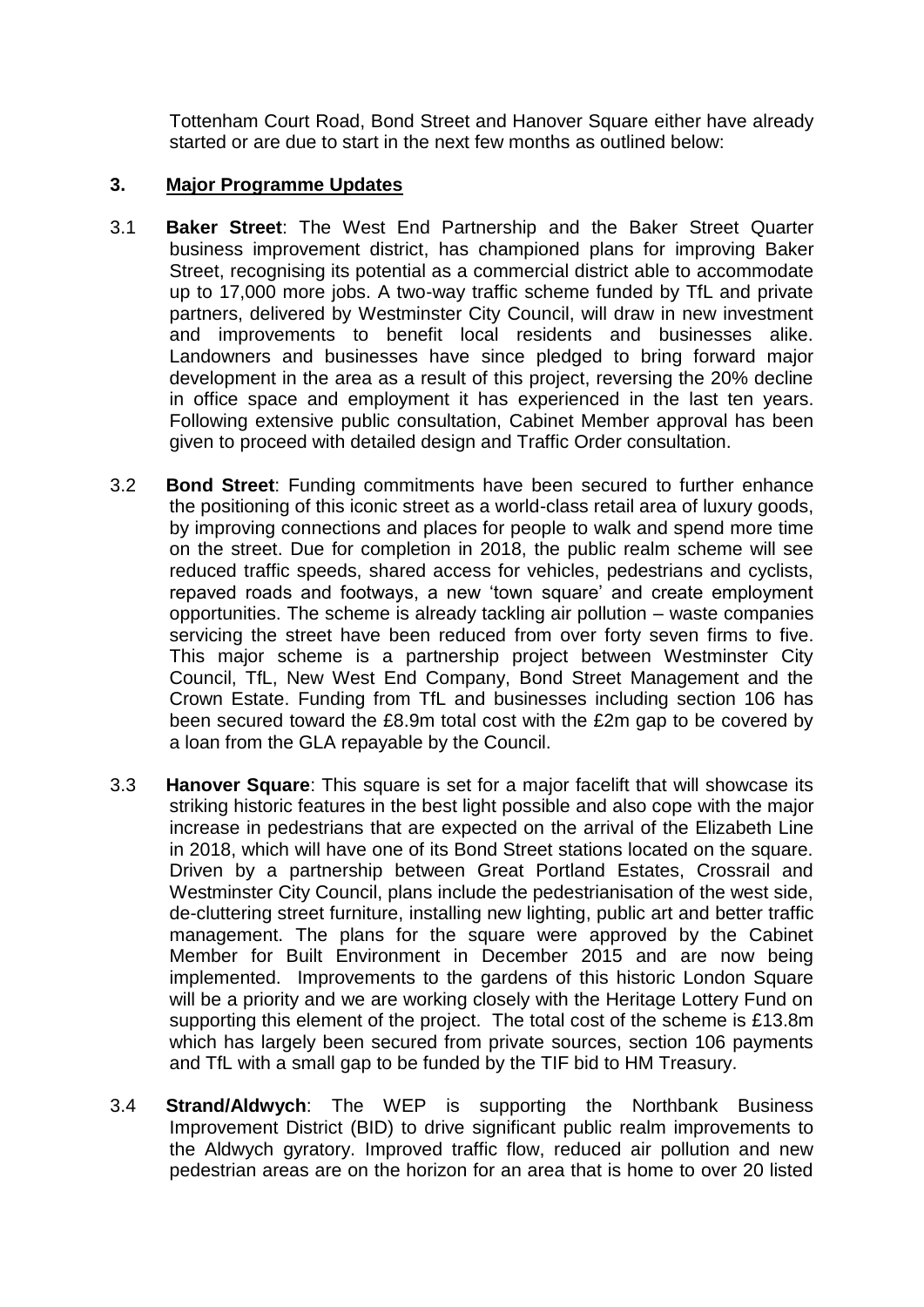Tottenham Court Road, Bond Street and Hanover Square either have already started or are due to start in the next few months as outlined below:

#### **3. Major Programme Updates**

- 3.1 **Baker Street**: The West End Partnership and the Baker Street Quarter business improvement district, has championed plans for improving Baker Street, recognising its potential as a commercial district able to accommodate up to 17,000 more jobs. A two-way traffic scheme funded by TfL and private partners, delivered by Westminster City Council, will draw in new investment and improvements to benefit local residents and businesses alike. Landowners and businesses have since pledged to bring forward major development in the area as a result of this project, reversing the 20% decline in office space and employment it has experienced in the last ten years. Following extensive public consultation, [Cabinet Member approval has been](http://committees.westminster.gov.uk/mgIssueHistoryHome.aspx?IId=8957&Opt=0)  [given](http://committees.westminster.gov.uk/mgIssueHistoryHome.aspx?IId=8957&Opt=0) to proceed with detailed design and Traffic Order consultation.
- 3.2 **Bond Street**: Funding commitments have been secured to further enhance the positioning of this iconic street as a world-class retail area of luxury goods, by improving connections and places for people to walk and spend more time on the street. Due for completion in 2018, the public realm scheme will see reduced traffic speeds, shared access for vehicles, pedestrians and cyclists, repaved roads and footways, a new 'town square' and create employment opportunities. The scheme is already tackling air pollution – waste companies servicing the street have been reduced from over forty seven firms to five. This major scheme is a partnership project between Westminster City Council, TfL, New West End Company, Bond Street Management and the Crown Estate. Funding from TfL and businesses including section 106 has been secured toward the £8.9m total cost with the £2m gap to be covered by a loan from the GLA repayable by the Council.
- 3.3 **Hanover Square**: This square is set for a major facelift that will showcase its striking historic features in the best light possible and also cope with the major increase in pedestrians that are expected on the arrival of the Elizabeth Line in 2018, which will have one of its Bond Street stations located on the square. Driven by a partnership between Great Portland Estates, Crossrail and Westminster City Council, plans include the pedestrianisation of the west side, de-cluttering street furniture, installing new lighting, public art and better traffic management. The plans for the square were approved by the Cabinet Member for Built Environment in December 2015 and are now being implemented. Improvements to the gardens of this historic London Square will be a priority and we are working closely with the Heritage Lottery Fund on supporting this element of the project. The total cost of the scheme is £13.8m which has largely been secured from private sources, section 106 payments and TfL with a small gap to be funded by the TIF bid to HM Treasury.
- 3.4 **Strand/Aldwych**: The WEP is supporting the Northbank Business Improvement District (BID) to drive significant public realm improvements to the Aldwych gyratory. Improved traffic flow, reduced air pollution and new pedestrian areas are on the horizon for an area that is home to over 20 listed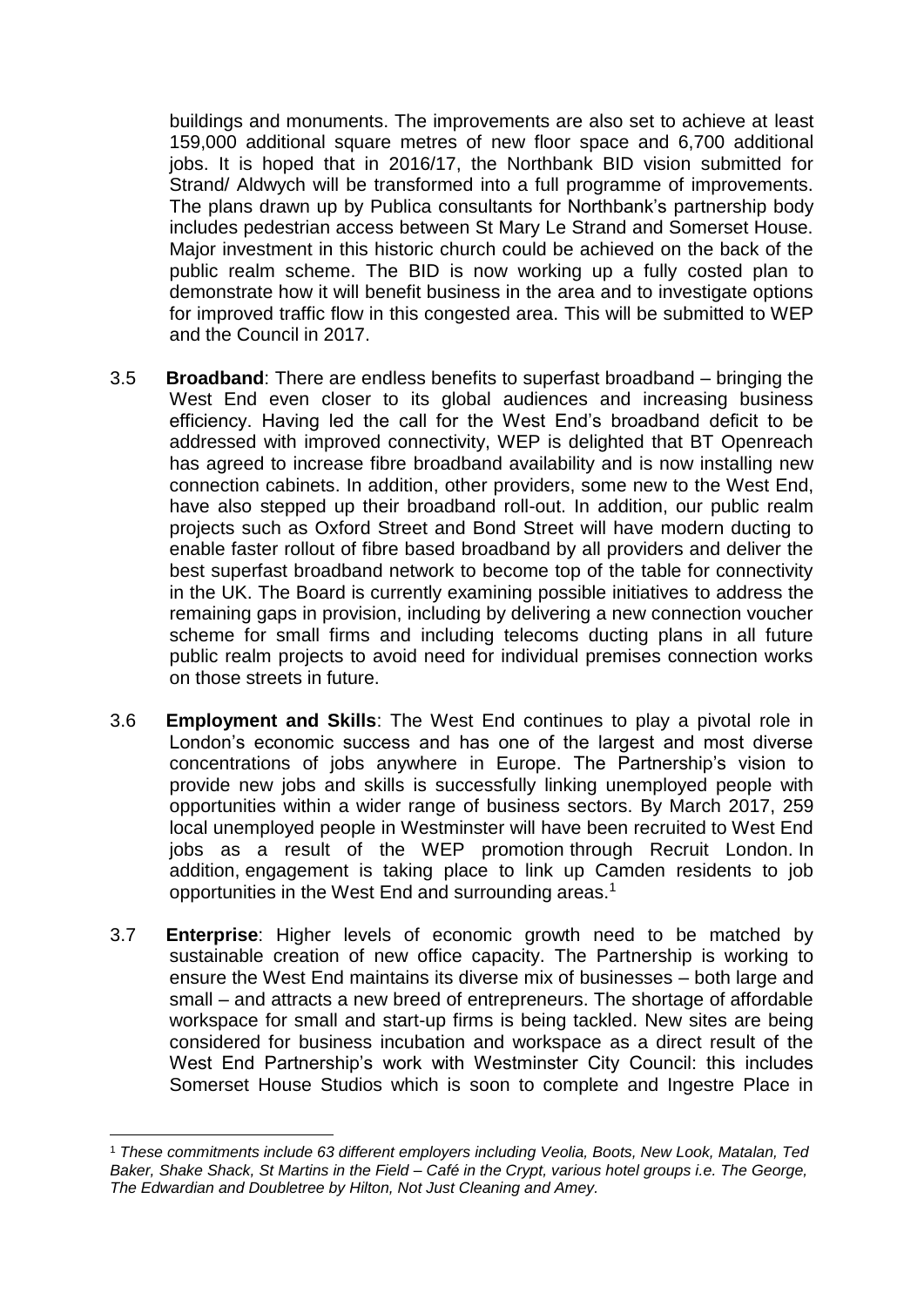buildings and monuments. The improvements are also set to achieve at least 159,000 additional square metres of new floor space and 6,700 additional jobs. It is hoped that in 2016/17, the Northbank BID vision submitted for Strand/ Aldwych will be transformed into a full programme of improvements. The plans drawn up by Publica consultants for Northbank's partnership body includes pedestrian access between St Mary Le Strand and Somerset House. Major investment in this historic church could be achieved on the back of the public realm scheme. The BID is now working up a fully costed plan to demonstrate how it will benefit business in the area and to investigate options for improved traffic flow in this congested area. This will be submitted to WEP and the Council in 2017.

- 3.5 **Broadband**: There are endless benefits to superfast broadband bringing the West End even closer to its global audiences and increasing business efficiency. Having led the call for the West End's broadband deficit to be addressed with improved connectivity, WEP is delighted that BT Openreach has agreed to increase fibre broadband availability and is now installing new connection cabinets. In addition, other providers, some new to the West End, have also stepped up their broadband roll-out. In addition, our public realm projects such as Oxford Street and Bond Street will have modern ducting to enable faster rollout of fibre based broadband by all providers and deliver the best superfast broadband network to become top of the table for connectivity in the UK. The Board is currently examining possible initiatives to address the remaining gaps in provision, including by delivering a new connection voucher scheme for small firms and including telecoms ducting plans in all future public realm projects to avoid need for individual premises connection works on those streets in future.
- 3.6 **Employment and Skills**: The West End continues to play a pivotal role in London's economic success and has one of the largest and most diverse concentrations of jobs anywhere in Europe. The Partnership's vision to provide new jobs and skills is successfully linking unemployed people with opportunities within a wider range of business sectors. By March 2017, 259 local unemployed people in Westminster will have been recruited to West End jobs as a result of the WEP promotion through Recruit London. In addition, engagement is taking place to link up Camden residents to job opportunities in the West End and surrounding areas.<sup>1</sup>
- 3.7 **Enterprise**: Higher levels of economic growth need to be matched by sustainable creation of new office capacity. The Partnership is working to ensure the West End maintains its diverse mix of businesses – both large and small – and attracts a new breed of entrepreneurs. The shortage of affordable workspace for small and start-up firms is being tackled. New sites are being considered for business incubation and workspace as a direct result of the West End Partnership's work with Westminster City Council: this includes Somerset House Studios which is soon to complete and Ingestre Place in

 $\overline{a}$ 

<sup>1</sup> *These commitments include 63 different employers including Veolia, Boots, New Look, Matalan, Ted Baker, Shake Shack, St Martins in the Field – Café in the Crypt, various hotel groups i.e. The George, The Edwardian and Doubletree by Hilton, Not Just Cleaning and Amey.*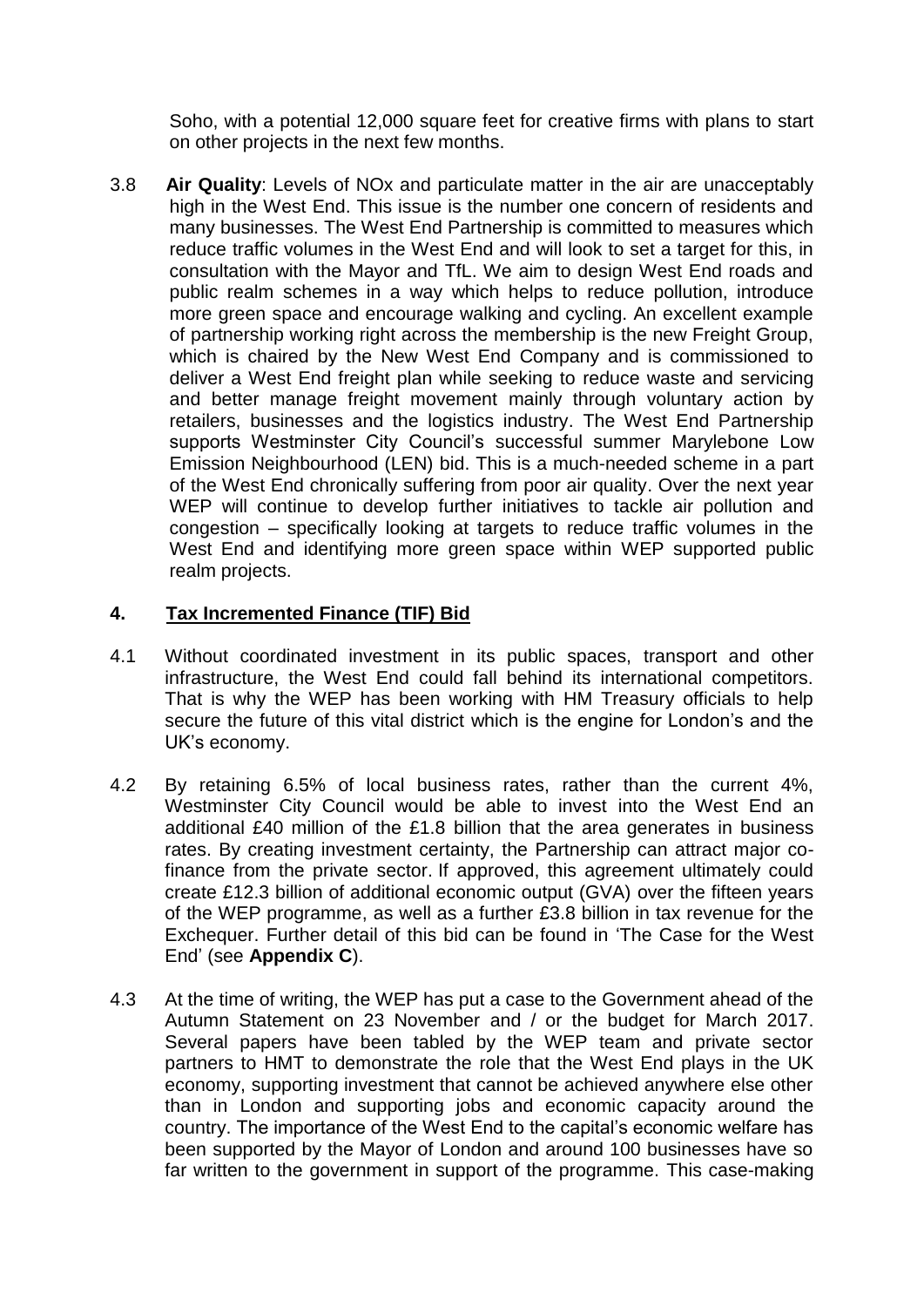Soho, with a potential 12,000 square feet for creative firms with plans to start on other projects in the next few months.

3.8 **Air Quality**: Levels of NOx and particulate matter in the air are unacceptably high in the West End. This issue is the number one concern of residents and many businesses. The West End Partnership is committed to measures which reduce traffic volumes in the West End and will look to set a target for this, in consultation with the Mayor and TfL. We aim to design West End roads and public realm schemes in a way which helps to reduce pollution, introduce more green space and encourage walking and cycling. An excellent example of partnership working right across the membership is the new Freight Group, which is chaired by the New West End Company and is commissioned to deliver a West End freight plan while seeking to reduce waste and servicing and better manage freight movement mainly through voluntary action by retailers, businesses and the logistics industry. The West End Partnership supports Westminster City Council's successful summer Marylebone Low Emission Neighbourhood (LEN) bid. This is a much-needed scheme in a part of the West End chronically suffering from poor air quality. Over the next year WEP will continue to develop further initiatives to tackle air pollution and congestion – specifically looking at targets to reduce traffic volumes in the West End and identifying more green space within WEP supported public realm projects.

# **4. Tax Incremented Finance (TIF) Bid**

- 4.1 Without coordinated investment in its public spaces, transport and other infrastructure, the West End could fall behind its international competitors. That is why the WEP has been working with HM Treasury officials to help secure the future of this vital district which is the engine for London's and the UK's economy.
- 4.2 By retaining 6.5% of local business rates, rather than the current 4%, Westminster City Council would be able to invest into the West End an additional £40 million of the £1.8 billion that the area generates in business rates. By creating investment certainty, the Partnership can attract major cofinance from the private sector. If approved, this agreement ultimately could create £12.3 billion of additional economic output (GVA) over the fifteen years of the WEP programme, as well as a further £3.8 billion in tax revenue for the Exchequer. Further detail of this bid can be found in ['The Case for the West](https://westendpartnership.files.wordpress.com/2014/12/the-case-for-the-west-end-august-2016_lrsp.pdf)  [End'](https://westendpartnership.files.wordpress.com/2014/12/the-case-for-the-west-end-august-2016_lrsp.pdf) (see **Appendix C**).
- 4.3 At the time of writing, the WEP has put a case to the Government ahead of the Autumn Statement on 23 November and / or the budget for March 2017. Several papers have been tabled by the WEP team and private sector partners to HMT to demonstrate the role that the West End plays in the UK economy, supporting investment that cannot be achieved anywhere else other than in London and supporting jobs and economic capacity around the country. The importance of the West End to the capital's economic welfare has been supported by the Mayor of London and around 100 businesses have so far written to the government in support of the programme. This case-making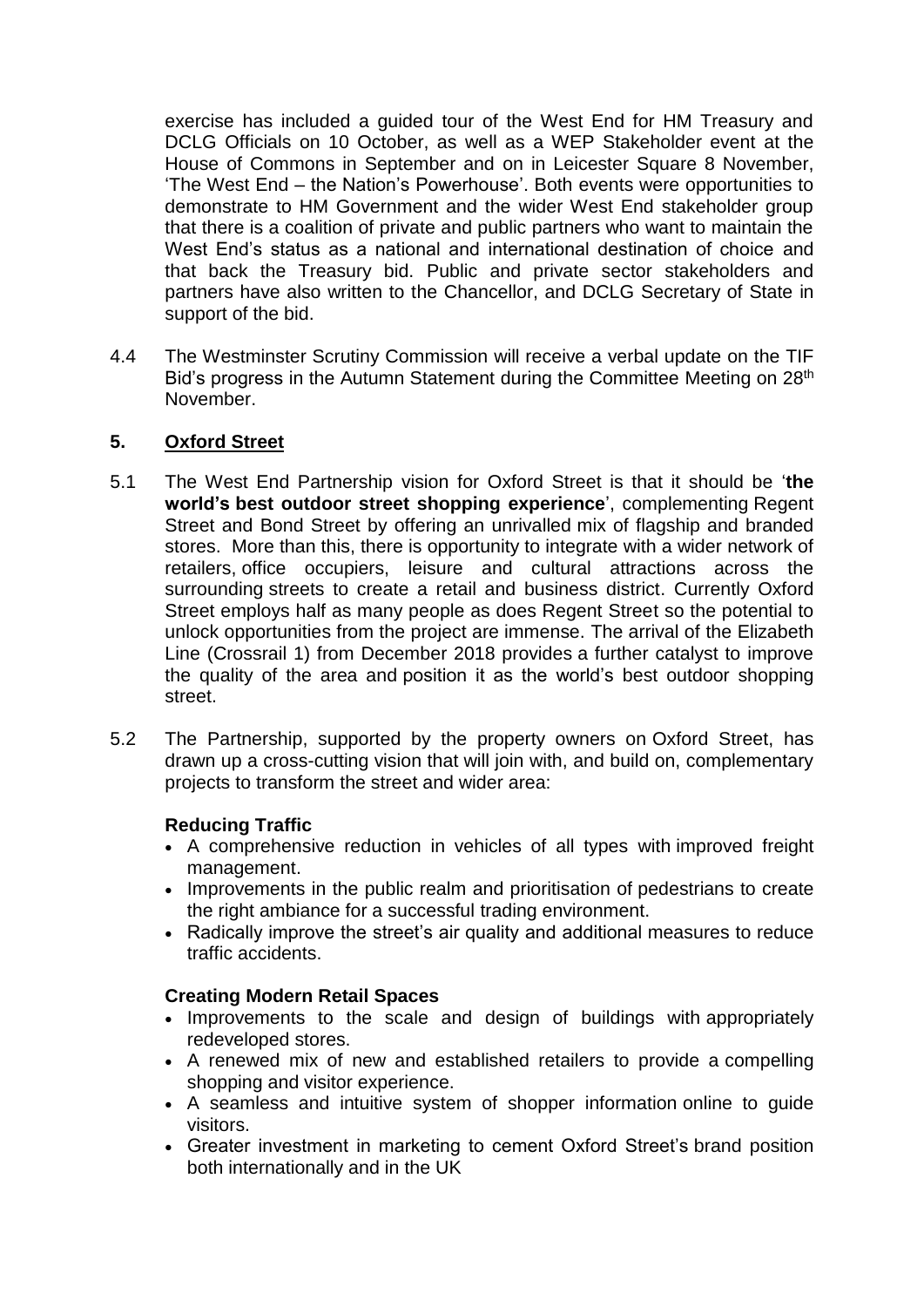exercise has included a guided tour of the West End for HM Treasury and DCLG Officials on 10 October, as well as a WEP Stakeholder event at the House of Commons in September and on in Leicester Square 8 November, 'The West End – the Nation's Powerhouse'. Both events were opportunities to demonstrate to HM Government and the wider West End stakeholder group that there is a coalition of private and public partners who want to maintain the West End's status as a national and international destination of choice and that back the Treasury bid. Public and private sector stakeholders and partners have also written to the Chancellor, and DCLG Secretary of State in support of the bid.

4.4 The Westminster Scrutiny Commission will receive a verbal update on the TIF Bid's progress in the Autumn Statement during the Committee Meeting on 28<sup>th</sup> November.

# **5. Oxford Street**

- 5.1 The West End Partnership vision for Oxford Street is that it should be '**the world's best outdoor street shopping experience**', complementing Regent Street and Bond Street by offering an unrivalled mix of flagship and branded stores. More than this, there is opportunity to integrate with a wider network of retailers, office occupiers, leisure and cultural attractions across the surrounding streets to create a retail and business district. Currently Oxford Street employs half as many people as does Regent Street so the potential to unlock opportunities from the project are immense. The arrival of the Elizabeth Line (Crossrail 1) from December 2018 provides a further catalyst to improve the quality of the area and position it as the world's best outdoor shopping street.
- 5.2 The Partnership, supported by the property owners on Oxford Street, has drawn up a cross-cutting vision that will join with, and build on, complementary projects to transform the street and wider area:

# **Reducing Traffic**

- A comprehensive reduction in vehicles of all types with improved freight management.
- Improvements in the public realm and prioritisation of pedestrians to create the right ambiance for a successful trading environment.
- Radically improve the street's air quality and additional measures to reduce traffic accidents.

# **Creating Modern Retail Spaces**

- Improvements to the scale and design of buildings with appropriately redeveloped stores.
- A renewed mix of new and established retailers to provide a compelling shopping and visitor experience.
- A seamless and intuitive system of shopper information online to guide visitors.
- Greater investment in marketing to cement Oxford Street's brand position both internationally and in the UK